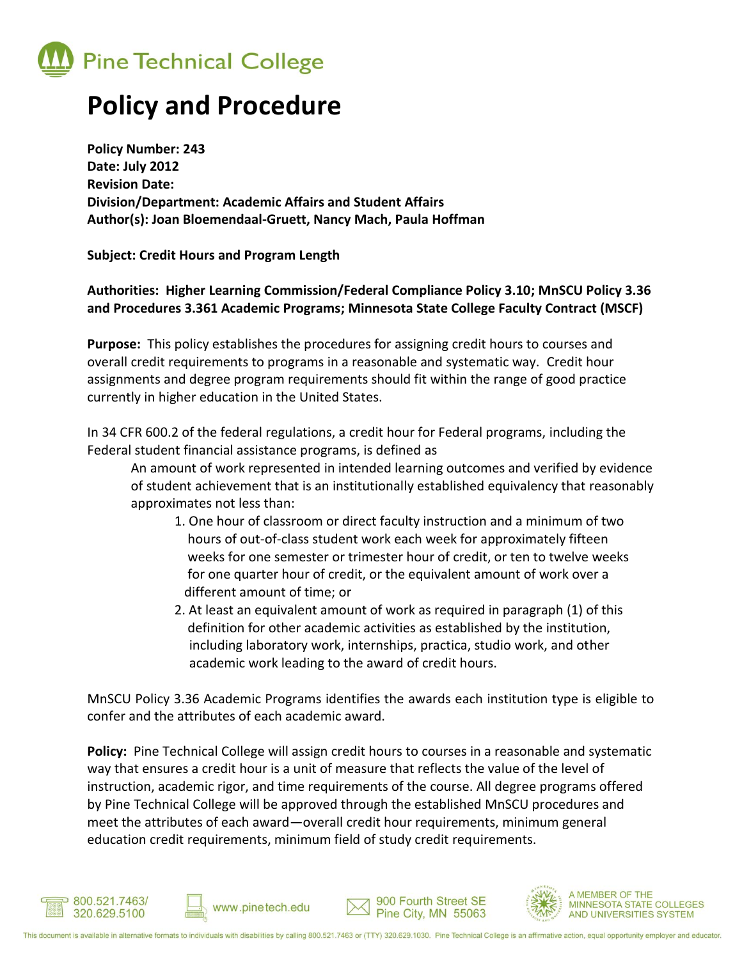

## **Policy and Procedure**

**Policy Number: 243 Date: July 2012 Revision Date: Division/Department: Academic Affairs and Student Affairs Author(s): Joan Bloemendaal-Gruett, Nancy Mach, Paula Hoffman**

**Subject: Credit Hours and Program Length**

**Authorities: Higher Learning Commission/Federal Compliance Policy 3.10; MnSCU Policy 3.36 and Procedures 3.361 Academic Programs; Minnesota State College Faculty Contract (MSCF)**

**Purpose:** This policy establishes the procedures for assigning credit hours to courses and overall credit requirements to programs in a reasonable and systematic way. Credit hour assignments and degree program requirements should fit within the range of good practice currently in higher education in the United States.

In 34 CFR 600.2 of the federal regulations, a credit hour for Federal programs, including the Federal student financial assistance programs, is defined as

An amount of work represented in intended learning outcomes and verified by evidence of student achievement that is an institutionally established equivalency that reasonably approximates not less than:

- 1. One hour of classroom or direct faculty instruction and a minimum of two hours of out-of-class student work each week for approximately fifteen weeks for one semester or trimester hour of credit, or ten to twelve weeks for one quarter hour of credit, or the equivalent amount of work over a different amount of time; or
- 2. At least an equivalent amount of work as required in paragraph (1) of this definition for other academic activities as established by the institution, including laboratory work, internships, practica, studio work, and other academic work leading to the award of credit hours.

MnSCU Policy 3.36 Academic Programs identifies the awards each institution type is eligible to confer and the attributes of each academic award.

**Policy:** Pine Technical College will assign credit hours to courses in a reasonable and systematic way that ensures a credit hour is a unit of measure that reflects the value of the level of instruction, academic rigor, and time requirements of the course. All degree programs offered by Pine Technical College will be approved through the established MnSCU procedures and meet the attributes of each award—overall credit hour requirements, minimum general education credit requirements, minimum field of study credit requirements.